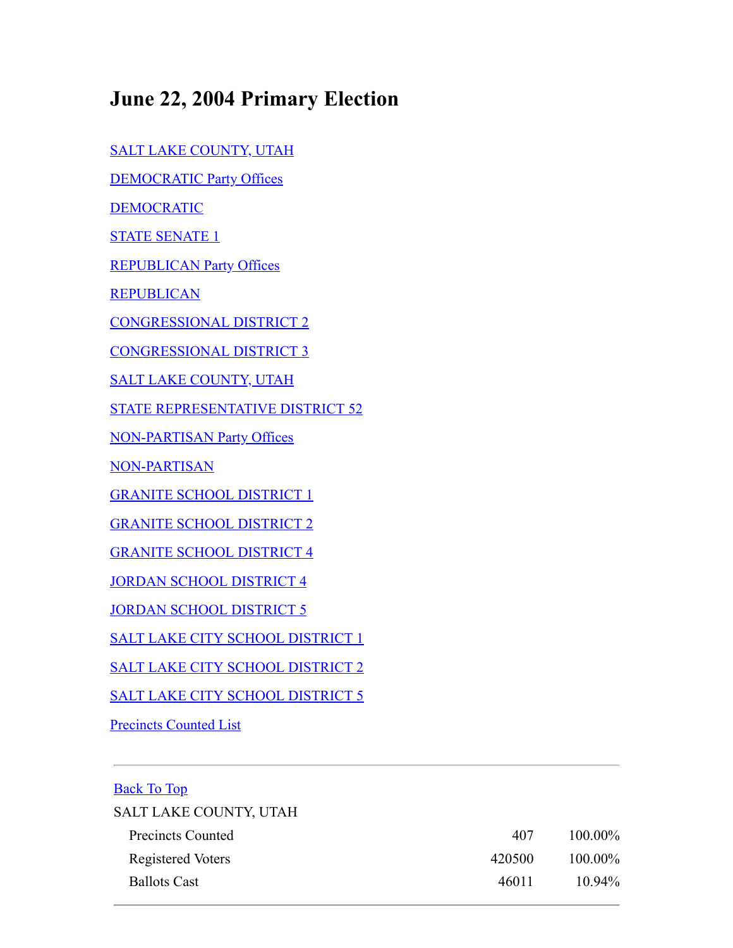## **June 22, 2004 Primary Election**

[SALT LAKE COUNTY, UTAH](#page-0-0)

[DEMOCRATIC Party Offices](#page-1-0)

[DEMOCRATIC](#page-1-1)

[STATE SENATE 1](#page-1-2)

[REPUBLICAN Party Offices](#page-1-3)

**[REPUBLICAN](#page-1-4)** 

[CONGRESSIONAL DISTRICT 2](#page-1-5)

[CONGRESSIONAL DISTRICT 3](#page-2-0)

[SALT LAKE COUNTY, UTAH](#page-2-1)

[STATE REPRESENTATIVE DISTRICT 52](#page-2-2)

[NON-PARTISAN Party Offices](#page-2-3)

[NON-PARTISAN](#page-2-4)

[GRANITE SCHOOL DISTRICT 1](#page-3-0)

[GRANITE SCHOOL DISTRICT 2](#page-3-1)

[GRANITE SCHOOL DISTRICT 4](#page-3-2)

[JORDAN SCHOOL DISTRICT 4](#page-3-3)

**[JORDAN SCHOOL DISTRICT 5](#page-4-0)** 

[SALT LAKE CITY SCHOOL DISTRICT 1](#page-4-1)

[SALT LAKE CITY SCHOOL DISTRICT 2](#page-4-2)

[SALT LAKE CITY SCHOOL DISTRICT 5](#page-5-0)

[Precincts Counted List](#page-5-1)

## <span id="page-0-0"></span>Back To Top

| SALT LAKE COUNTY, UTAH |        |            |
|------------------------|--------|------------|
| Precincts Counted      | 407    | $100.00\%$ |
| Registered Voters      | 420500 | $100.00\%$ |
| <b>Ballots Cast</b>    | 46011  | $10.94\%$  |
|                        |        |            |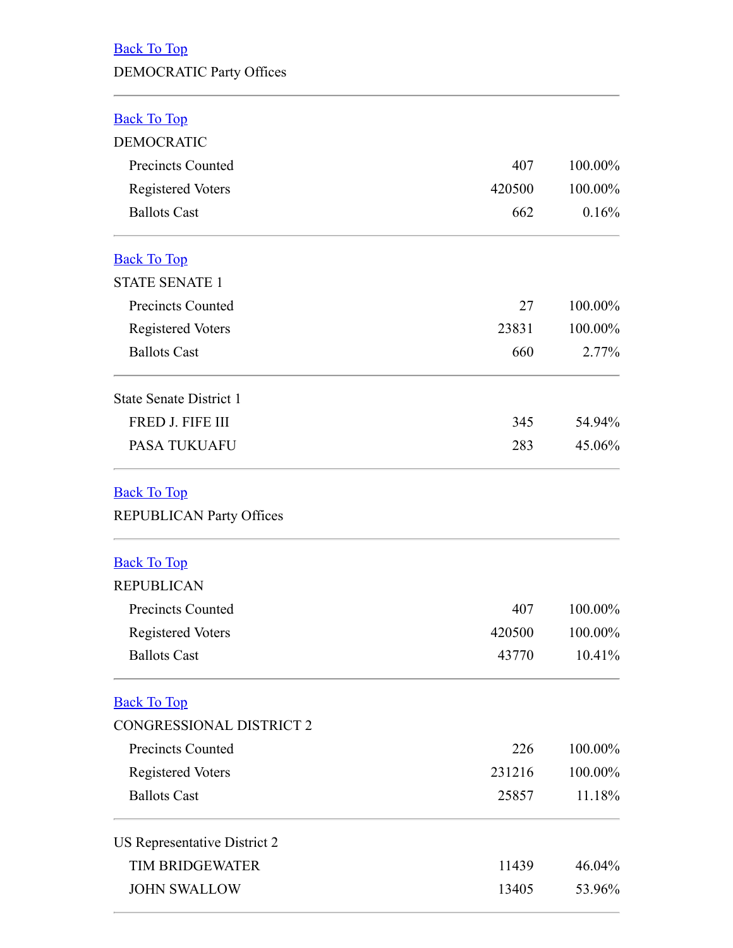## <span id="page-1-0"></span>Back To Top

## DEMOCRATIC Party Offices

<span id="page-1-1"></span>

| васк г | $\Omega$ to: |  |
|--------|--------------|--|
|        |              |  |

<span id="page-1-5"></span><span id="page-1-4"></span><span id="page-1-3"></span><span id="page-1-2"></span>

| <b>DEMOCRATIC</b>                               |               |                             |
|-------------------------------------------------|---------------|-----------------------------|
| <b>Precincts Counted</b>                        | 407<br>420500 | 100.00%<br>100.00%<br>0.16% |
| <b>Registered Voters</b><br><b>Ballots Cast</b> |               |                             |
|                                                 | 662           |                             |
| <b>Back To Top</b>                              |               |                             |
| <b>STATE SENATE 1</b>                           |               |                             |
| <b>Precincts Counted</b>                        | 27            | 100.00%                     |
| <b>Registered Voters</b>                        | 23831         | 100.00%                     |
| <b>Ballots Cast</b>                             | 660           | 2.77%                       |
| <b>State Senate District 1</b>                  |               |                             |
| FRED J. FIFE III                                | 345           | 54.94%                      |
| <b>PASA TUKUAFU</b>                             | 283           | 45.06%                      |
| <b>Back To Top</b>                              |               |                             |
| REPUBLICAN Party Offices                        |               |                             |
| <b>Back To Top</b>                              |               |                             |
| <b>REPUBLICAN</b>                               |               |                             |
| <b>Precincts Counted</b>                        | 407           | 100.00%                     |
| <b>Registered Voters</b>                        | 420500        | 100.00%                     |
| <b>Ballots Cast</b>                             | 43770         | 10.41%                      |
| <b>Back To Top</b>                              |               |                             |
| CONGRESSIONAL DISTRICT 2                        |               |                             |
| <b>Precincts Counted</b>                        | 226           | 100.00%                     |
| <b>Registered Voters</b>                        | 231216        | 100.00%                     |
| <b>Ballots Cast</b>                             | 25857         | 11.18%                      |
| US Representative District 2                    |               |                             |
| <b>TIM BRIDGEWATER</b>                          | 11439         | 46.04%                      |
| <b>JOHN SWALLOW</b>                             | 13405         | 53.96%                      |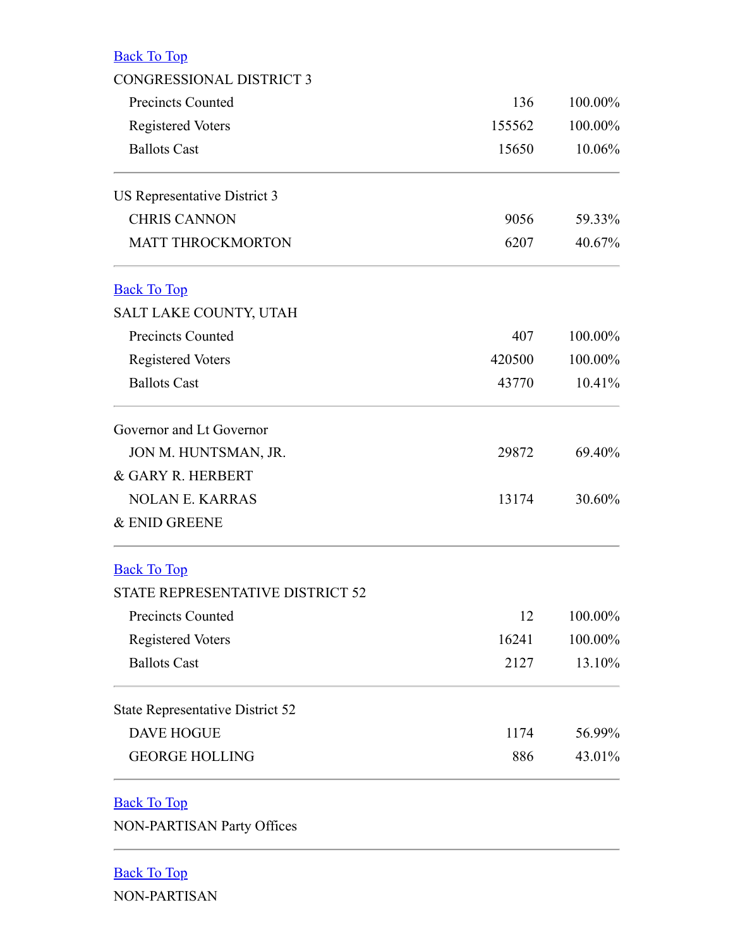<span id="page-2-1"></span><span id="page-2-0"></span>

| <b>Back To Top</b>                      |        |         |
|-----------------------------------------|--------|---------|
| <b>CONGRESSIONAL DISTRICT 3</b>         |        |         |
| <b>Precincts Counted</b>                | 136    | 100.00% |
| <b>Registered Voters</b>                | 155562 | 100.00% |
| <b>Ballots Cast</b>                     | 15650  | 10.06%  |
| US Representative District 3            |        |         |
| <b>CHRIS CANNON</b>                     | 9056   | 59.33%  |
| <b>MATT THROCKMORTON</b>                | 6207   | 40.67%  |
| <b>Back To Top</b>                      |        |         |
| SALT LAKE COUNTY, UTAH                  |        |         |
| <b>Precincts Counted</b>                | 407    | 100.00% |
| <b>Registered Voters</b>                | 420500 | 100.00% |
| <b>Ballots Cast</b>                     | 43770  | 10.41%  |
| Governor and Lt Governor                |        |         |
| JON M. HUNTSMAN, JR.                    | 29872  | 69.40%  |
| & GARY R. HERBERT                       |        |         |
| <b>NOLAN E. KARRAS</b>                  | 13174  | 30.60%  |
| & ENID GREENE                           |        |         |
| <b>Back To Top</b>                      |        |         |
| <b>STATE REPRESENTATIVE DISTRICT 52</b> |        |         |
| <b>Precincts Counted</b>                | 12     | 100.00% |
| <b>Registered Voters</b>                | 16241  | 100.00% |
| <b>Ballots Cast</b>                     | 2127   | 13.10%  |
| <b>State Representative District 52</b> |        |         |
| <b>DAVE HOGUE</b>                       | 1174   | 56.99%  |
| <b>GEORGE HOLLING</b>                   | 886    | 43.01%  |
| <b>Back To Top</b>                      |        |         |
| <b>NON-PARTISAN Party Offices</b>       |        |         |

<span id="page-2-4"></span><span id="page-2-3"></span><span id="page-2-2"></span>Back To Top NON-PARTISAN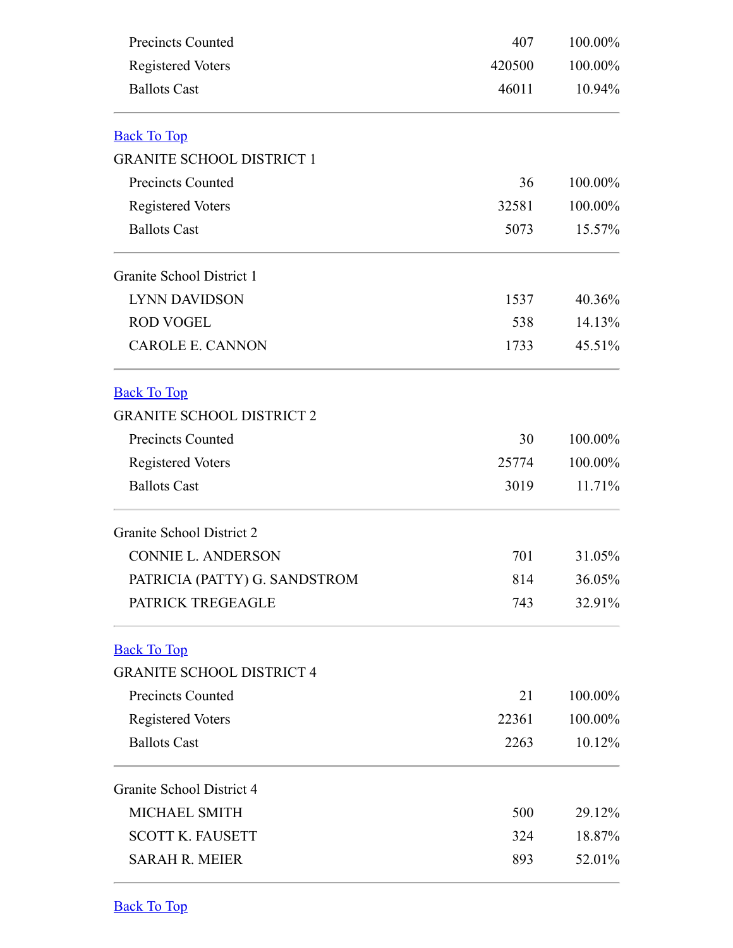<span id="page-3-1"></span><span id="page-3-0"></span>

| <b>Precincts Counted</b><br><b>Registered Voters</b> | 407<br>420500 | 100.00%<br>100.00%<br>10.94% |
|------------------------------------------------------|---------------|------------------------------|
|                                                      |               |                              |
| <b>Back To Top</b>                                   |               |                              |
| <b>GRANITE SCHOOL DISTRICT 1</b>                     |               |                              |
| <b>Precincts Counted</b>                             | 36            | 100.00%                      |
| <b>Registered Voters</b>                             | 32581         | 100.00%                      |
| <b>Ballots Cast</b>                                  | 5073          | 15.57%                       |
| Granite School District 1                            |               |                              |
| <b>LYNN DAVIDSON</b>                                 | 1537          | 40.36%                       |
| <b>ROD VOGEL</b>                                     | 538           | 14.13%                       |
| <b>CAROLE E. CANNON</b>                              | 1733          | 45.51%                       |
| <b>Back To Top</b>                                   |               |                              |
| <b>GRANITE SCHOOL DISTRICT 2</b>                     |               |                              |
| <b>Precincts Counted</b>                             | 30            | 100.00%                      |
| <b>Registered Voters</b>                             | 25774         | 100.00%                      |
| <b>Ballots Cast</b>                                  | 3019          | 11.71%                       |
| Granite School District 2                            |               |                              |
| <b>CONNIE L. ANDERSON</b>                            | 701           | 31.05%                       |
| PATRICIA (PATTY) G. SANDSTROM                        | 814           | 36.05%                       |
| PATRICK TREGEAGLE                                    | 743           | 32.91%                       |
| <b>Back To Top</b>                                   |               |                              |
| <b>GRANITE SCHOOL DISTRICT 4</b>                     |               |                              |
| <b>Precincts Counted</b>                             | 21            | 100.00%                      |
| <b>Registered Voters</b>                             | 22361         | 100.00%                      |
| <b>Ballots Cast</b>                                  | 2263          | 10.12%                       |
| Granite School District 4                            |               |                              |
| MICHAEL SMITH                                        | 500           | 29.12%                       |
| <b>SCOTT K. FAUSETT</b>                              | 324           | 18.87%                       |
| <b>SARAH R. MEIER</b>                                | 893           | 52.01%                       |

<span id="page-3-3"></span><span id="page-3-2"></span>Back To Top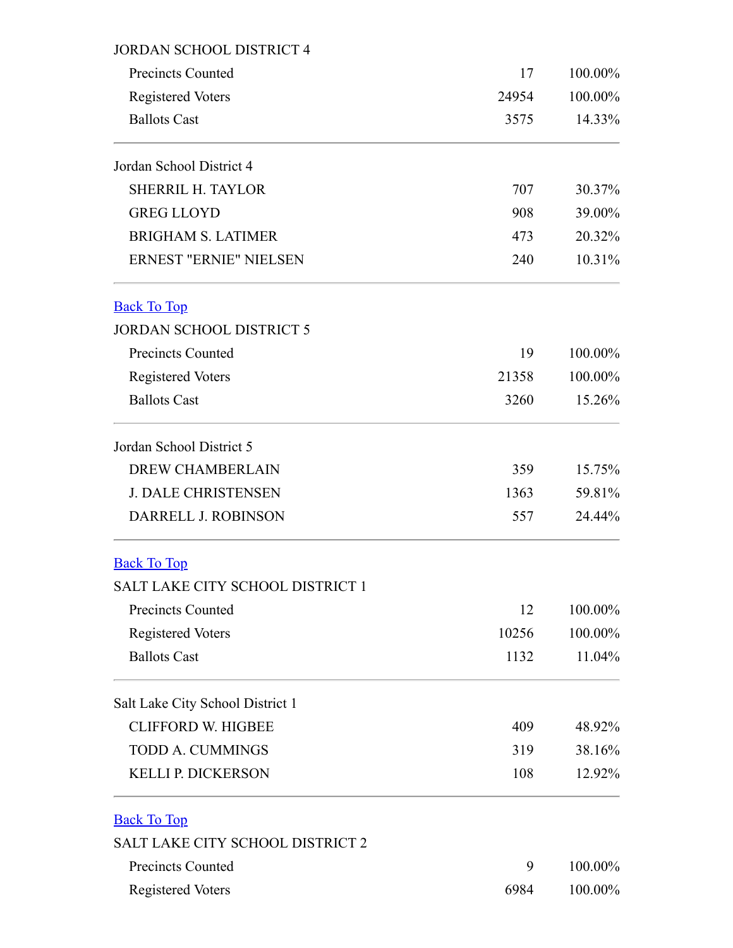<span id="page-4-2"></span><span id="page-4-1"></span><span id="page-4-0"></span>

| <b>JORDAN SCHOOL DISTRICT 4</b>                 |               |                   |
|-------------------------------------------------|---------------|-------------------|
| <b>Precincts Counted</b>                        | 17            | 100.00%           |
| <b>Registered Voters</b><br><b>Ballots Cast</b> | 24954<br>3575 | 100.00%<br>14.33% |
|                                                 |               |                   |
| <b>SHERRIL H. TAYLOR</b>                        | 707           | 30.37%            |
| <b>GREG LLOYD</b>                               | 908           | 39.00%            |
| <b>BRIGHAM S. LATIMER</b>                       | 473           | 20.32%            |
| <b>ERNEST "ERNIE" NIELSEN</b>                   | 240           | 10.31%            |
| <b>Back To Top</b>                              |               |                   |
| <b>JORDAN SCHOOL DISTRICT 5</b>                 |               |                   |
| <b>Precincts Counted</b>                        | 19            | 100.00%           |
| <b>Registered Voters</b>                        | 21358         | 100.00%           |
| <b>Ballots Cast</b>                             | 3260          | 15.26%            |
| Jordan School District 5                        |               |                   |
| <b>DREW CHAMBERLAIN</b>                         | 359           | 15.75%            |
| <b>J. DALE CHRISTENSEN</b>                      | 1363          | 59.81%            |
| DARRELL J. ROBINSON                             | 557           | 24.44%            |
| <b>Back To Top</b>                              |               |                   |
| SALT LAKE CITY SCHOOL DISTRICT 1                |               |                   |
| <b>Precincts Counted</b>                        | 12            | 100.00%           |
| <b>Registered Voters</b>                        | 10256         | 100.00%           |
| <b>Ballots Cast</b>                             | 1132          | 11.04%            |
| Salt Lake City School District 1                |               |                   |
| <b>CLIFFORD W. HIGBEE</b>                       | 409           | 48.92%            |
| <b>TODD A. CUMMINGS</b>                         | 319           | 38.16%            |
| <b>KELLI P. DICKERSON</b>                       | 108           | 12.92%            |
| <b>Back To Top</b>                              |               |                   |
| <b>SALT LAKE CITY SCHOOL DISTRICT 2</b>         |               |                   |
| <b>Precincts Counted</b>                        | 9             | 100.00%           |
| <b>Registered Voters</b>                        | 6984          | 100.00%           |
|                                                 |               |                   |